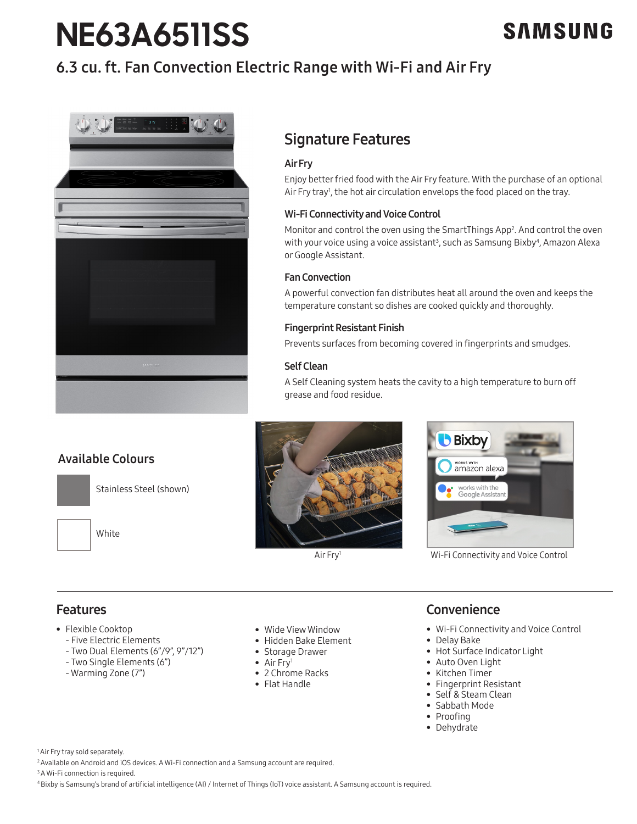# **NE63A6511SS**

# SAMSUNG

# 6.3 cu. ft. Fan Convection Electric Range with Wi-Fi and Air Fry



### Signature Features

### Air Fry

Enjoy better fried food with the Air Fry feature. With the purchase of an optional Air Fry tray<sup>1</sup>, the hot air circulation envelops the food placed on the tray.

### Wi-Fi Connectivity and Voice Control

Monitor and control the oven using the SmartThings App<sup>2</sup>. And control the oven with your voice using a voice assistant<sup>3</sup>, such as Samsung Bixby<sup>4</sup>, Amazon Alexa or Google Assistant.

### Fan Convection

A powerful convection fan distributes heat all around the oven and keeps the temperature constant so dishes are cooked quickly and thoroughly.

### Fingerprint Resistant Finish

Prevents surfaces from becoming covered in fingerprints and smudges.

### Self Clean

A Self Cleaning system heats the cavity to a high temperature to burn off grease and food residue.

### Available Colours



Stainless Steel (shown)

White





Wi-Fi Connectivity and Voice Control

### Features

- Flexible Cooktop
	- Five Electric Elements
	- Two Dual Elements (6"/9", 9"/12")
	- Two Single Elements (6")
	- Warming Zone (7")
- Wide View Window
- Hidden Bake Element
- Storage Drawer
- Air Fry<sup>1</sup>
- 2 Chrome Racks
- Flat Handle

### **Convenience**

- Wi-Fi Connectivity and Voice Control
- Delay Bake
- Hot Surface Indicator Light
- Auto Oven Light
- Kitchen Timer
- Fingerprint Resistant
- Self & Steam Clean
- Sabbath Mode
- Proofing
- Dehydrate

<sup>1</sup> Air Fry tray sold separately.

2 Available on Android and iOS devices. A Wi-Fi connection and a Samsung account are required.

<sup>3</sup> A Wi-Fi connection is required.

4 Bixby is Samsung's brand of artificial intelligence (AI) / Internet of Things (IoT) voice assistant. A Samsung account is required.

Air Fry1